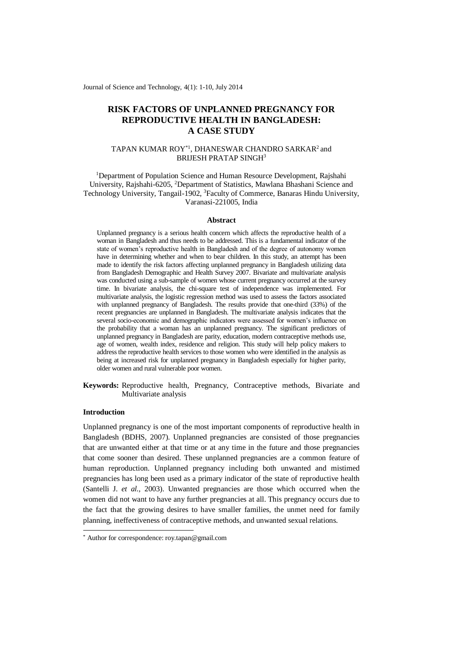Journal of Science and Technology, 4(1): 1-10, July 2014

# **RISK FACTORS OF UNPLANNED PREGNANCY FOR REPRODUCTIVE HEALTH IN BANGLADESH: A CASE STUDY**

# TAPAN KUMAR ROY\*1, DHANESWAR CHANDRO SARKAR<sup>2</sup> and BRIJESH PRATAP SINGH<sup>3</sup>

<sup>1</sup>Department of Population Science and Human Resource Development, Rajshahi University, Rajshahi-6205, <sup>2</sup>Department of Statistics, Mawlana Bhashani Science and Technology University, Tangail-1902, <sup>3</sup>Faculty of Commerce, Banaras Hindu University, Varanasi-221005, India

#### **Abstract**

Unplanned pregnancy is a serious health concern which affects the reproductive health of a woman in Bangladesh and thus needs to be addressed. This is a fundamental indicator of the state of women's reproductive health in Bangladesh and of the degree of autonomy women have in determining whether and when to bear children. In this study, an attempt has been made to identify the risk factors affecting unplanned pregnancy in Bangladesh utilizing data from Bangladesh Demographic and Health Survey 2007. Bivariate and multivariate analysis was conducted using a sub-sample of women whose current pregnancy occurred at the survey time. In bivariate analysis, the chi-square test of independence was implemented. For multivariate analysis, the logistic regression method was used to assess the factors associated with unplanned pregnancy of Bangladesh. The results provide that one-third (33%) of the recent pregnancies are unplanned in Bangladesh. The multivariate analysis indicates that the several socio-economic and demographic indicators were assessed for women's influence on the probability that a woman has an unplanned pregnancy. The significant predictors of unplanned pregnancy in Bangladesh are parity, education, modern contraceptive methods use, age of women, wealth index, residence and religion. This study will help policy makers to address the reproductive health services to those women who were identified in the analysis as being at increased risk for unplanned pregnancy in Bangladesh especially for higher parity, older women and rural vulnerable poor women.

**Keywords:** Reproductive health, Pregnancy, Contraceptive methods, Bivariate and Multivariate analysis

### **Introduction**

-

Unplanned pregnancy is one of the most important components of reproductive health in Bangladesh (BDHS, 2007). Unplanned pregnancies are consisted of those pregnancies that are unwanted either at that time or at any time in the future and those pregnancies that come sooner than desired. These unplanned pregnancies are a common feature of human reproduction. Unplanned pregnancy including both unwanted and mistimed pregnancies has long been used as a primary indicator of the state of reproductive health (Santelli J. *et al.,* 2003). Unwanted pregnancies are those which occurred when the women did not want to have any further pregnancies at all. This pregnancy occurs due to the fact that the growing desires to have smaller families, the unmet need for family planning, ineffectiveness of contraceptive methods, and unwanted sexual relations.

<sup>\*</sup> Author for correspondence: roy.tapan@gmail.com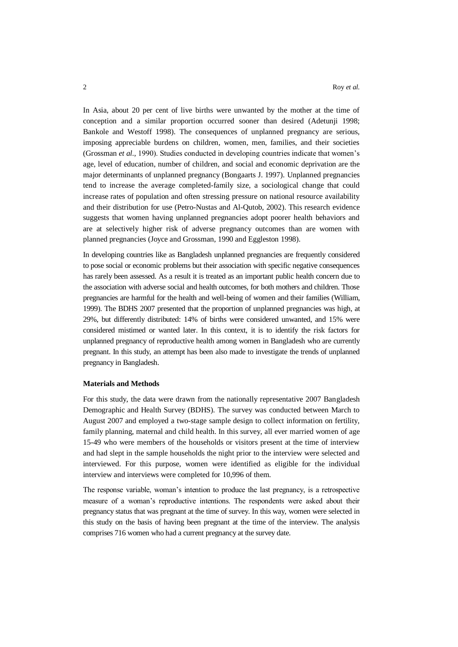In Asia, about 20 per cent of live births were unwanted by the mother at the time of conception and a similar proportion occurred sooner than desired (Adetunji 1998; Bankole and Westoff 1998). The consequences of unplanned pregnancy are serious, imposing appreciable burdens on children, women, men, families, and their societies (Grossman *et al.,* 1990). Studies conducted in developing countries indicate that women's age, level of education, number of children, and social and economic deprivation are the major determinants of unplanned pregnancy (Bongaarts J. 1997). Unplanned pregnancies tend to increase the average completed-family size, a sociological change that could increase rates of population and often stressing pressure on national resource availability and their distribution for use (Petro-Nustas and Al-Qutob, 2002). This research evidence suggests that women having unplanned pregnancies adopt poorer health behaviors and are at selectively higher risk of adverse pregnancy outcomes than are women with planned pregnancies (Joyce and Grossman, 1990 and Eggleston 1998).

In developing countries like as Bangladesh unplanned pregnancies are frequently considered to pose social or economic problems but their association with specific negative consequences has rarely been assessed. As a result it is treated as an important public health concern due to the association with adverse social and health outcomes, for both mothers and children. Those pregnancies are harmful for the health and well-being of women and their families (William, 1999). The BDHS 2007 presented that the proportion of unplanned pregnancies was high, at 29%, but differently distributed: 14% of births were considered unwanted, and 15% were considered mistimed or wanted later. In this context, it is to identify the risk factors for unplanned pregnancy of reproductive health among women in Bangladesh who are currently pregnant. In this study, an attempt has been also made to investigate the trends of unplanned pregnancy in Bangladesh.

### **Materials and Methods**

For this study, the data were drawn from the nationally representative 2007 Bangladesh Demographic and Health Survey (BDHS). The survey was conducted between March to August 2007 and employed a two-stage sample design to collect information on fertility, family planning, maternal and child health. In this survey, all ever married women of age 15-49 who were members of the households or visitors present at the time of interview and had slept in the sample households the night prior to the interview were selected and interviewed. For this purpose, women were identified as eligible for the individual interview and interviews were completed for 10,996 of them.

The response variable, woman's intention to produce the last pregnancy, is a retrospective measure of a woman's reproductive intentions. The respondents were asked about their pregnancy status that was pregnant at the time of survey. In this way, women were selected in this study on the basis of having been pregnant at the time of the interview. The analysis comprises 716 women who had a current pregnancy at the survey date.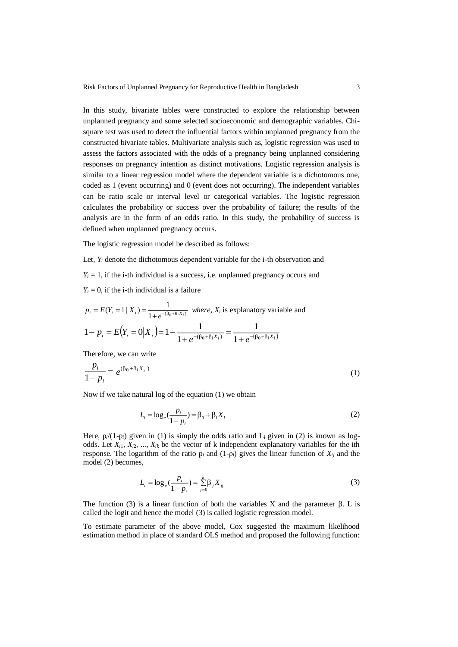In this study, bivariate tables were constructed to explore the relationship between unplanned pregnancy and some selected socioeconomic and demographic variables. Chisquare test was used to detect the influential factors within unplanned pregnancy from the constructed bivariate tables. Multivariate analysis such as, logistic regression was used to assess the factors associated with the odds of a pregnancy being unplanned considering responses on pregnancy intention as distinct motivations. Logistic regression analysis is similar to a linear regression model where the dependent variable is a dichotomous one, coded as 1 (event occurring) and 0 (event does not occurring). The independent variables can be ratio scale or interval level or categorical variables. The logistic regression calculates the probability or success over the probability of failure; the results of the analysis are in the form of an odds ratio. In this study, the probability of success is defined when unplanned pregnancy occurs.

The logistic regression model be described as follows:

Let,  $Y_i$  denote the dichotomous dependent variable for the i-th observation and

 $Y_i = 1$ , if the *i*-th individual is a success, i.e. unplanned pregnancy occurs and

 $Y_i = 0$ , if the *i*-th individual is a failure

$$
p_i = E(Y_i = 1 | X_i) = \frac{1}{1 + e^{-(\beta_0 + \theta_i X_i)}} \text{ where, } X_i \text{ is explanatory variable and}
$$
  

$$
1 - p_i = E(Y_i = 0 | X_i) = 1 - \frac{1}{1 + e^{-(\beta_0 + \beta_1 X_i)}} = \frac{1}{1 + e^{-(\beta_0 + \beta_i X_i)}}
$$

Therefore, we can write

$$
\frac{p_i}{1 - p_i} = e^{(\beta_0 + \beta_i X_i)}
$$
 (1)

Now if we take natural log of the equation (1) we obtain

$$
L_i = \log_e(\frac{p_i}{1 - p_i}) = \beta_0 + \beta_i X_i
$$
\n<sup>(2)</sup>

Here,  $p_i/(1-p_i)$  given in (1) is simply the odds ratio and  $L_i$  given in (2) is known as logodds. Let *Xi*1, *Xi*2, ..., *Xik* be the vector of k independent explanatory variables for the ith response. The logarithm of the ratio  $p_i$  and  $(1-p_i)$  gives the linear function of  $X_{ij}$  and the model (2) becomes,

$$
L_i = \log_e(\frac{p_i}{1 - p_i}) = \sum_{j=0}^{k} \beta_j X_{ij}
$$
\n(3)

The function (3) is a linear function of both the variables  $X$  and the parameter  $\beta$ . L is called the logit and hence the model (3) is called logistic regression model.

To estimate parameter of the above model, Cox suggested the maximum likelihood estimation method in place of standard OLS method and proposed the following function: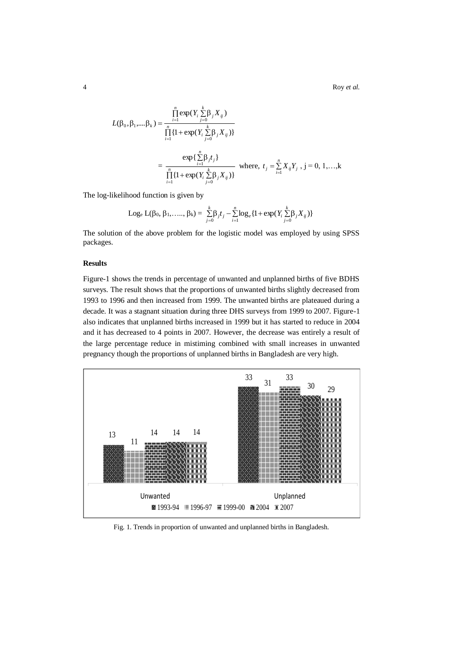4 Roy *et al.*

$$
L(\beta_0, \beta_1, ..., \beta_k) = \frac{\prod_{i=1}^{n} \exp(Y_i \sum_{j=0}^{k} \beta_j X_{ij})}{\prod_{i=1}^{n} \{1 + \exp(Y_i \sum_{j=0}^{k} \beta_j X_{ij})\}}
$$
  
= 
$$
\frac{\exp\{\sum_{i=1}^{n} \beta_j t_j\}}{\prod_{i=1}^{n} \{1 + \exp(Y_i \sum_{j=0}^{k} \beta_j X_{ij})\}}
$$
 where,  $t_j = \sum_{i=1}^{n} X_{ij} Y_j$ ,  $j = 0, 1, ..., k$ 

The log-likelihood function is given by

Log<sub>e</sub> 
$$
L(\beta_0, \beta_1, ..., \beta_k) = \sum_{j=0}^{k} \beta_j t_j - \sum_{i=1}^{n} \log_e \{1 + \exp(Y_i \sum_{j=0}^{k} \beta_j X_{ij})\}
$$

The solution of the above problem for the logistic model was employed by using SPSS packages.

## **Results**

Figure-1 shows the trends in percentage of unwanted and unplanned births of five BDHS surveys. The result shows that the proportions of unwanted births slightly decreased from 1993 to 1996 and then increased from 1999. The unwanted births are plateaued during a decade. It was a stagnant situation during three DHS surveys from 1999 to 2007. Figure-1 also indicates that unplanned births increased in 1999 but it has started to reduce in 2004 and it has decreased to 4 points in 2007. However, the decrease was entirely a result of the large percentage reduce in mistiming combined with small increases in unwanted pregnancy though the proportions of unplanned births in Bangladesh are very high.



Fig. 1. Trends in proportion of unwanted and unplanned births in Bangladesh.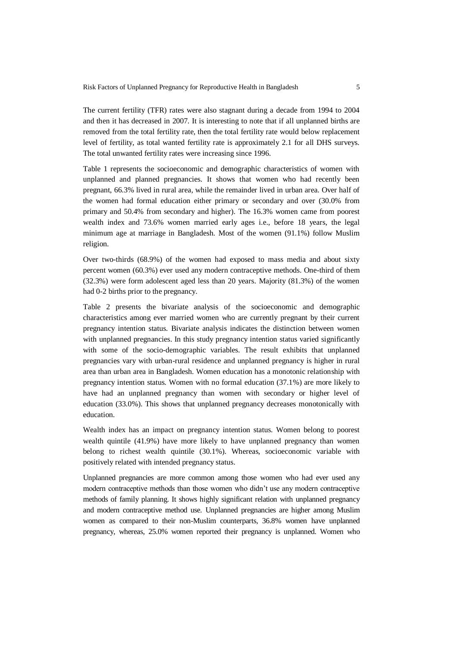The current fertility (TFR) rates were also stagnant during a decade from 1994 to 2004 and then it has decreased in 2007. It is interesting to note that if all unplanned births are removed from the total fertility rate, then the total fertility rate would below replacement level of fertility, as total wanted fertility rate is approximately 2.1 for all DHS surveys. The total unwanted fertility rates were increasing since 1996.

Table 1 represents the socioeconomic and demographic characteristics of women with unplanned and planned pregnancies. It shows that women who had recently been pregnant, 66.3% lived in rural area, while the remainder lived in urban area. Over half of the women had formal education either primary or secondary and over (30.0% from primary and 50.4% from secondary and higher). The 16.3% women came from poorest wealth index and 73.6% women married early ages i.e., before 18 years, the legal minimum age at marriage in Bangladesh. Most of the women (91.1%) follow Muslim religion.

Over two-thirds (68.9%) of the women had exposed to mass media and about sixty percent women (60.3%) ever used any modern contraceptive methods. One-third of them (32.3%) were form adolescent aged less than 20 years. Majority (81.3%) of the women had 0-2 births prior to the pregnancy.

Table 2 presents the bivariate analysis of the socioeconomic and demographic characteristics among ever married women who are currently pregnant by their current pregnancy intention status. Bivariate analysis indicates the distinction between women with unplanned pregnancies. In this study pregnancy intention status varied significantly with some of the socio-demographic variables. The result exhibits that unplanned pregnancies vary with urban-rural residence and unplanned pregnancy is higher in rural area than urban area in Bangladesh. Women education has a monotonic relationship with pregnancy intention status. Women with no formal education (37.1%) are more likely to have had an unplanned pregnancy than women with secondary or higher level of education (33.0%). This shows that unplanned pregnancy decreases monotonically with education.

Wealth index has an impact on pregnancy intention status. Women belong to poorest wealth quintile (41.9%) have more likely to have unplanned pregnancy than women belong to richest wealth quintile (30.1%). Whereas, socioeconomic variable with positively related with intended pregnancy status.

Unplanned pregnancies are more common among those women who had ever used any modern contraceptive methods than those women who didn't use any modern contraceptive methods of family planning. It shows highly significant relation with unplanned pregnancy and modern contraceptive method use. Unplanned pregnancies are higher among Muslim women as compared to their non-Muslim counterparts, 36.8% women have unplanned pregnancy, whereas, 25.0% women reported their pregnancy is unplanned. Women who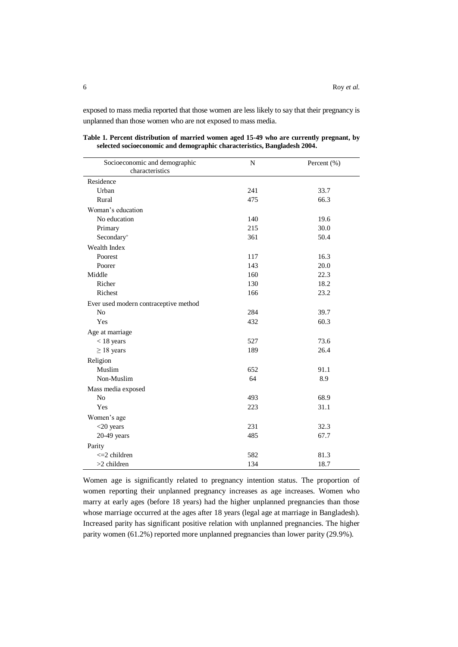exposed to mass media reported that those women are less likely to say that their pregnancy is unplanned than those women who are not exposed to mass media.

| Socioeconomic and demographic<br>characteristics | $\mathbf N$ | Percent (%) |
|--------------------------------------------------|-------------|-------------|
|                                                  |             |             |
| Residence                                        |             |             |
| Urban                                            | 241         | 33.7        |
| Rural                                            | 475         | 66.3        |
| Woman's education                                |             |             |
| No education                                     | 140         | 19.6        |
| Primary                                          | 215         | 30.0        |
| Secondary <sup>+</sup>                           | 361         | 50.4        |
| Wealth Index                                     |             |             |
| Poorest                                          | 117         | 16.3        |
| Poorer                                           | 143         | 20.0        |
| Middle                                           | 160         | 22.3        |
| Richer                                           | 130         | 18.2        |
| <b>Richest</b>                                   | 166         | 23.2        |
| Ever used modern contraceptive method            |             |             |
| N <sub>o</sub>                                   | 284         | 39.7        |
| Yes                                              | 432         | 60.3        |
| Age at marriage                                  |             |             |
| $<$ 18 years                                     | 527         | 73.6        |
| $\geq$ 18 years                                  | 189         | 26.4        |
| Religion                                         |             |             |
| Muslim                                           | 652         | 91.1        |
| Non-Muslim                                       | 64          | 8.9         |
| Mass media exposed                               |             |             |
| N <sub>o</sub>                                   | 493         | 68.9        |
| Yes                                              | 223         | 31.1        |
| Women's age                                      |             |             |
| $<$ 20 years                                     | 231         | 32.3        |
| $20-49$ years                                    | 485         | 67.7        |
| Parity                                           |             |             |
| $\leq$ 2 children                                | 582         | 81.3        |
| >2 children                                      | 134         | 18.7        |

**Table 1. Percent distribution of married women aged 15-49 who are currently pregnant, by selected socioeconomic and demographic characteristics, Bangladesh 2004.**

Women age is significantly related to pregnancy intention status. The proportion of women reporting their unplanned pregnancy increases as age increases. Women who marry at early ages (before 18 years) had the higher unplanned pregnancies than those whose marriage occurred at the ages after 18 years (legal age at marriage in Bangladesh). Increased parity has significant positive relation with unplanned pregnancies. The higher parity women (61.2%) reported more unplanned pregnancies than lower parity (29.9%).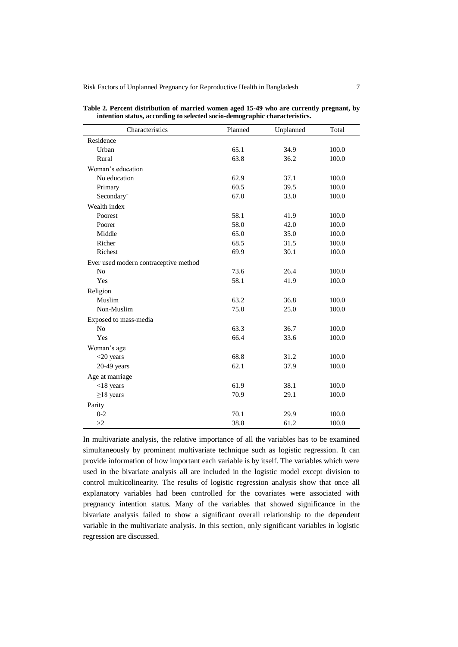Risk Factors of Unplanned Pregnancy for Reproductive Health in Bangladesh 7

| Characteristics                       | Planned | Unplanned | Total |
|---------------------------------------|---------|-----------|-------|
| Residence                             |         |           |       |
| Urban                                 | 65.1    | 34.9      | 100.0 |
| Rural                                 | 63.8    | 36.2      | 100.0 |
| Woman's education                     |         |           |       |
| No education                          | 62.9    | 37.1      | 100.0 |
| Primary                               | 60.5    | 39.5      | 100.0 |
| Secondary <sup>+</sup>                | 67.0    | 33.0      | 100.0 |
| Wealth index                          |         |           |       |
| Poorest                               | 58.1    | 41.9      | 100.0 |
| Poorer                                | 58.0    | 42.0      | 100.0 |
| Middle                                | 65.0    | 35.0      | 100.0 |
| Richer                                | 68.5    | 31.5      | 100.0 |
| Richest                               | 69.9    | 30.1      | 100.0 |
| Ever used modern contraceptive method |         |           |       |
| No                                    | 73.6    | 26.4      | 100.0 |
| Yes                                   | 58.1    | 41.9      | 100.0 |
| Religion                              |         |           |       |
| Muslim                                | 63.2    | 36.8      | 100.0 |
| Non-Muslim                            | 75.0    | 25.0      | 100.0 |
| Exposed to mass-media                 |         |           |       |
| No                                    | 63.3    | 36.7      | 100.0 |
| Yes                                   | 66.4    | 33.6      | 100.0 |
| Woman's age                           |         |           |       |
| $<$ 20 years                          | 68.8    | 31.2      | 100.0 |
| $20-49$ years                         | 62.1    | 37.9      | 100.0 |
| Age at marriage                       |         |           |       |
| $<$ 18 years                          | 61.9    | 38.1      | 100.0 |
| $\geq$ 18 years                       | 70.9    | 29.1      | 100.0 |
| Parity                                |         |           |       |
| $0 - 2$                               | 70.1    | 29.9      | 100.0 |
| >2                                    | 38.8    | 61.2      | 100.0 |

**Table 2. Percent distribution of married women aged 15-49 who are currently pregnant, by intention status, according to selected socio-demographic characteristics.**

In multivariate analysis, the relative importance of all the variables has to be examined simultaneously by prominent multivariate technique such as logistic regression. It can provide information of how important each variable is by itself. The variables which were used in the bivariate analysis all are included in the logistic model except division to control multicolinearity. The results of logistic regression analysis show that once all explanatory variables had been controlled for the covariates were associated with pregnancy intention status. Many of the variables that showed significance in the bivariate analysis failed to show a significant overall relationship to the dependent variable in the multivariate analysis. In this section, only significant variables in logistic regression are discussed.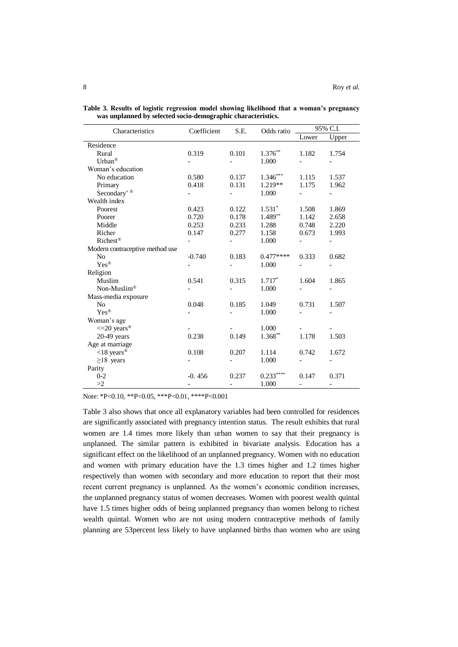| Characteristics                 | Coefficient | S.E.                     | Odds ratio | 95% C.I.                 |                          |
|---------------------------------|-------------|--------------------------|------------|--------------------------|--------------------------|
|                                 |             |                          |            | Lower                    | Upper                    |
| Residence                       |             |                          |            |                          |                          |
| Rural                           | 0.319       | 0.101                    | $1.376***$ | 1.182                    | 1.754                    |
| Urban®                          |             |                          | 1.000      |                          |                          |
| Woman's education               |             |                          |            |                          |                          |
| No education                    | 0.580       | 0.137                    | $1.346***$ | 1.115                    | 1.537                    |
| Primary                         | 0.418       | 0.131                    | 1.219**    | 1.175                    | 1.962                    |
| Secondary <sup>+®</sup>         |             |                          | 1.000      |                          |                          |
| Wealth index                    |             |                          |            |                          |                          |
| Poorest                         | 0.423       | 0.122                    | $1.531*$   | 1.508                    | 1.869                    |
| Poorer                          | 0.720       | 0.178                    | 1.489**    | 1.142                    | 2.658                    |
| Middle                          | 0.253       | 0.233                    | 1.288      | 0.748                    | 2.220                    |
| Richer                          | 0.147       | 0.277                    | 1.158      | 0.673                    | 1.993                    |
| Richest <sup>®</sup>            |             |                          | 1.000      |                          |                          |
| Modern contraceptive method use |             |                          |            |                          |                          |
| N <sub>0</sub>                  | $-0.740$    | 0.183                    | $0.477***$ | 0.333                    | 0.682                    |
| $Yes^{\circledR}$               |             |                          | 1.000      |                          |                          |
| Religion                        |             |                          |            |                          |                          |
| Muslim                          | 0.541       | 0.315                    | $1.717*$   | 1.604                    | 1.865                    |
| Non-Muslim®                     |             |                          | 1.000      |                          |                          |
| Mass-media exposure             |             |                          |            |                          |                          |
| N <sub>0</sub>                  | 0.048       | 0.185                    | 1.049      | 0.731                    | 1.507                    |
| $Yes^{\circledR}$               |             |                          | 1.000      |                          |                          |
| Woman's age                     |             |                          |            |                          |                          |
| $\leq$ 20 years <sup>®</sup>    |             |                          | 1.000      |                          |                          |
| $20-49$ years                   | 0.238       | 0.149                    | $1.368***$ | 1.178                    | 1.503                    |
| Age at marriage                 |             |                          |            |                          |                          |
| $<$ 18 years <sup>®</sup>       | 0.108       | 0.207                    | 1.114      | 0.742                    | 1.672                    |
| $\geq$ 18 years                 |             |                          | 1.000      |                          |                          |
| Parity                          |             |                          |            |                          |                          |
| $0 - 2$                         | $-0.456$    | 0.237                    | $0.233***$ | 0.147                    | 0.371                    |
| >2                              |             | $\overline{\phantom{0}}$ | 1.000      | $\overline{\phantom{a}}$ | $\overline{\phantom{a}}$ |

**Table 3. Results of logistic regression model showing likelihood that a woman's pregnancy was unplanned by selected socio-demographic characteristics.**

Note: \*P<0.10, \*\*P<0.05, \*\*\*P<0.01, \*\*\*\*P<0.001

Table 3 also shows that once all explanatory variables had been controlled for residences are significantly associated with pregnancy intention status. The result exhibits that rural women are 1.4 times more likely than urban women to say that their pregnancy is unplanned. The similar pattern is exhibited in bivariate analysis. Education has a significant effect on the likelihood of an unplanned pregnancy. Women with no education and women with primary education have the 1.3 times higher and 1.2 times higher respectively than women with secondary and more education to report that their most recent current pregnancy is unplanned. As the women's economic condition increases, the unplanned pregnancy status of women decreases. Women with poorest wealth quintal have 1.5 times higher odds of being unplanned pregnancy than women belong to richest wealth quintal. Women who are not using modern contraceptive methods of family planning are 53percent less likely to have unplanned births than women who are using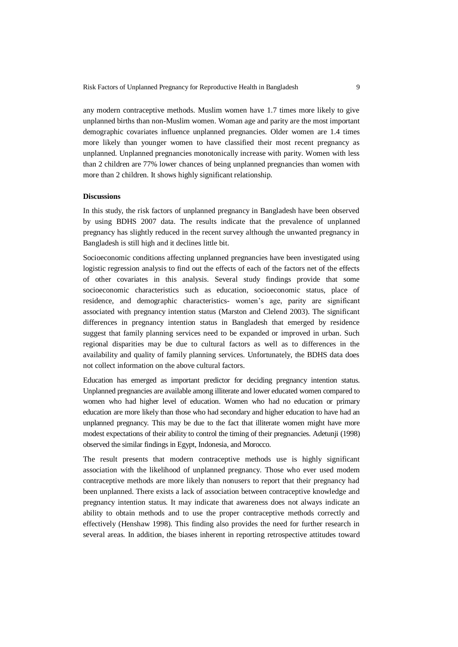any modern contraceptive methods. Muslim women have 1.7 times more likely to give unplanned births than non-Muslim women. Woman age and parity are the most important demographic covariates influence unplanned pregnancies. Older women are 1.4 times more likely than younger women to have classified their most recent pregnancy as unplanned. Unplanned pregnancies monotonically increase with parity. Women with less than 2 children are 77% lower chances of being unplanned pregnancies than women with more than 2 children. It shows highly significant relationship.

#### **Discussions**

In this study, the risk factors of unplanned pregnancy in Bangladesh have been observed by using BDHS 2007 data. The results indicate that the prevalence of unplanned pregnancy has slightly reduced in the recent survey although the unwanted pregnancy in Bangladesh is still high and it declines little bit.

Socioeconomic conditions affecting unplanned pregnancies have been investigated using logistic regression analysis to find out the effects of each of the factors net of the effects of other covariates in this analysis. Several study findings provide that some socioeconomic characteristics such as education, socioeconomic status, place of residence, and demographic characteristics- women's age, parity are significant associated with pregnancy intention status (Marston and Clelend 2003). The significant differences in pregnancy intention status in Bangladesh that emerged by residence suggest that family planning services need to be expanded or improved in urban. Such regional disparities may be due to cultural factors as well as to differences in the availability and quality of family planning services. Unfortunately, the BDHS data does not collect information on the above cultural factors.

Education has emerged as important predictor for deciding pregnancy intention status. Unplanned pregnancies are available among illiterate and lower educated women compared to women who had higher level of education. Women who had no education or primary education are more likely than those who had secondary and higher education to have had an unplanned pregnancy. This may be due to the fact that illiterate women might have more modest expectations of their ability to control the timing of their pregnancies. Adetunji (1998) observed the similar findings in Egypt, Indonesia, and Morocco.

The result presents that modern contraceptive methods use is highly significant association with the likelihood of unplanned pregnancy. Those who ever used modem contraceptive methods are more likely than nonusers to report that their pregnancy had been unplanned. There exists a lack of association between contraceptive knowledge and pregnancy intention status. It may indicate that awareness does not always indicate an ability to obtain methods and to use the proper contraceptive methods correctly and effectively (Henshaw 1998). This finding also provides the need for further research in several areas. In addition, the biases inherent in reporting retrospective attitudes toward